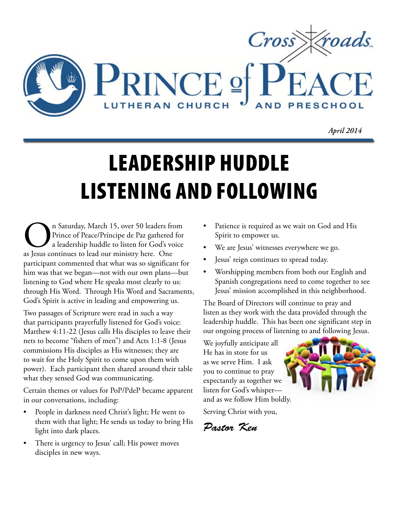

*April 2014*

# LEADERSHIP HUDDLE LISTENING AND FOLLOWING

**On** Saturday, March 15, over 50 leaders from<br>Prince of Peace/Príncipe de Paz gathered for<br>a leadership huddle to listen for God's voice<br>as Jesus continues to lead our ministry here. One Prince of Peace/Príncipe de Paz gathered for a leadership huddle to listen for God's voice as Jesus continues to lead our ministry here. One participant commented that what was so significant for him was that we began—not with our own plans—but listening to God where He speaks most clearly to us: through His Word. Through His Word and Sacraments, God's Spirit is active in leading and empowering us.

Two passages of Scripture were read in such a way that participants prayerfully listened for God's voice: Matthew 4:11-22 (Jesus calls His disciples to leave their nets to become "fishers of men") and Acts 1:1-8 (Jesus commissions His disciples as His witnesses; they are to wait for the Holy Spirit to come upon them with power). Each participant then shared around their table what they sensed God was communicating.

Certain themes or values for PoP/PdeP became apparent in our conversations, including:

- People in darkness need Christ's light; He went to them with that light; He sends us today to bring His light into dark places.
- There is urgency to Jesus' call; His power moves disciples in new ways.
- Patience is required as we wait on God and His Spirit to empower us.
- We are Jesus' witnesses everywhere we go.
- Jesus' reign continues to spread today.
- Worshipping members from both our English and Spanish congregations need to come together to see Jesus' mission accomplished in this neighborhood.

The Board of Directors will continue to pray and listen as they work with the data provided through the leadership huddle. This has been one significant step in our ongoing process of listening to and following Jesus.

We joyfully anticipate all He has in store for us as we serve Him. I ask you to continue to pray expectantly as together we listen for God's whisper and as we follow Him boldly.

Serving Christ with you,

*Pastor Ken*

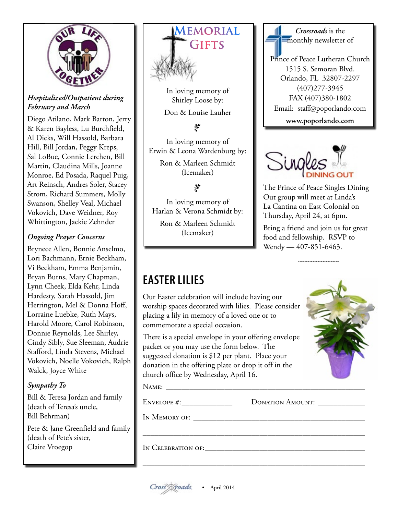

#### *Hospitalized/Outpatient during February and March*

Diego Atilano, Mark Barton, Jerry & Karen Bayless, Lu Burchfield, Al Dicks, Will Hassold, Barbara Hill, Bill Jordan, Peggy Kreps, Sal LoBue, Connie Lerchen, Bill Martin, Claudina Mills, Joanne Monroe, Ed Posada, Raquel Puig, Art Reinsch, Andres Soler, Stacey Strom, Richard Summers, Molly Swanson, Shelley Veal, Michael Vokovich, Dave Weidner, Roy Whittington, Jackie Zehnder

#### *Ongoing Prayer Concerns*

Brynece Allen, Bonnie Anselmo, Lori Bachmann, Ernie Beckham, Vi Beckham, Emma Benjamin, Bryan Burns, Mary Chapman, Lynn Cheek, Elda Kehr, Linda Hardesty, Sarah Hassold, Jim Herrington, Mel & Donna Hoff, Lorraine Luebke, Ruth Mays, Harold Moore, Carol Robinson, Donnie Reynolds, Lee Shirley, Cindy Sibly, Sue Sleeman, Audrie Stafford, Linda Stevens, Michael Vokovich, Noelle Vokovich, Ralph Walck, Joyce White

### *Sympathy To*

Bill & Teresa Jordan and family (death of Teresa's uncle, Bill Behrman)

Pete & Jane Greenfield and family (death of Pete's sister, Claire Vroegop



In loving memory of Shirley Loose by: Don & Louise Lauher

# •

In loving memory of Erwin & Leona Wardenburg by: Ron & Marleen Schmidt (Icemaker)

# •

In loving memory of Harlan & Verona Schmidt by:

Ron & Marleen Schmidt (Icemaker)

# *Crossroads* is the monthly newsletter of Prince of Peace Lutheran Church 1515 S. Semoran Blvd. Orlando, FL 32807-2297 (407)277-3945 FAX (407)380-1802 Email: staff@poporlando.com **www.poporlando.com**



The Prince of Peace Singles Dining Out group will meet at Linda's La Cantina on East Colonial on Thursday, April 24, at 6pm.

Bring a friend and join us for great food and fellowship. RSVP to Wendy — 407-851-6463.

# **EASTER LILIES**

Our Easter celebration will include having our worship spaces decorated with lilies. Please consider placing a lily in memory of a loved one or to commemorate a special occasion.

There is a special envelope in your offering envelope packet or you may use the form below. The suggested donation is \$12 per plant. Place your donation in the offering plate or drop it off in the church office by Wednesday, April 16.

Name: \_\_\_\_\_\_\_\_\_\_\_\_\_\_\_\_\_\_\_\_\_\_\_\_\_\_\_\_\_\_\_\_\_\_\_\_\_\_\_\_\_\_\_\_\_\_\_\_\_\_\_

ENVELOPE #:\_\_\_\_\_\_\_\_\_\_\_\_\_\_\_\_\_\_\_\_\_\_\_\_ DONATION AMOUNT: \_\_\_\_\_\_\_\_\_\_\_\_\_\_\_\_\_\_\_\_\_\_\_\_\_\_\_

\_\_\_\_\_\_\_\_\_\_\_\_\_\_\_\_\_\_\_\_\_\_\_\_\_\_\_\_\_\_\_\_\_\_\_\_\_\_\_\_\_\_\_\_\_\_\_\_\_\_\_\_\_\_\_\_\_

\_\_\_\_\_\_\_\_\_\_\_\_\_\_\_\_\_\_\_\_\_\_\_\_\_\_\_\_\_\_\_\_\_\_\_\_\_\_\_\_\_\_\_\_\_\_\_\_\_\_\_\_\_\_\_\_\_

In Memory of:

In Celebration of:



Cross Y croads.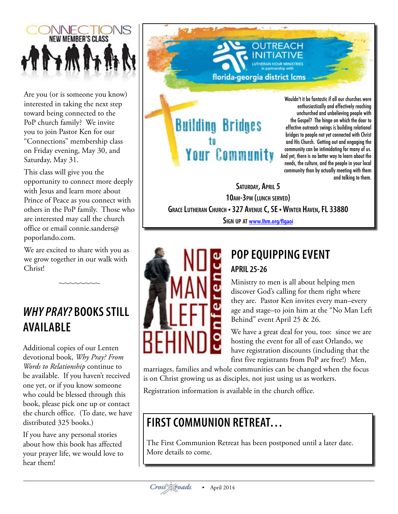

Are you (or is someone you know) interested in taking the next step toward being connected to the PoP church family? We invite you to join Pastor Ken for our "Connections" membership class on Friday evening, May 30, and Saturday, May 31.

This class will give you the opportunity to connect more deeply with Jesus and learn more about Prince of Peace as you connect with others in the PoP family. Those who are interested may call the church office or email [connie.sanders@](mailto:connie.sanders@poporlando.com) [poporlando.com](mailto:connie.sanders@poporlando.com).

We are excited to share with you as we grow together in our walk with Christ!

# *WHY PRAY?* **BOOKS STILL AVAILABLE**

Additional copies of our Lenten devotional book, *Why Pray? From Words to Relationship* continue to be available. If you haven't received one yet, or if you know someone who could be blessed through this book, please pick one up or contact the church office. (To date, we have distributed 325 books.)

If you have any personal stories about how this book has affected your prayer life, we would love to hear them!

**Building Bridges** to **Your Community** 

Wouldn't it be fantastic if all our churches were enthusiastically and effectively reaching unchurched and unbelieving people with the Gospel? The hinge on which the door to effective outreach swings is building relational bridges to people not yet connected with Christ and His Church. Getting out and engaging the community can be intimidating for many of us. And yet, there is no better way to learn about the needs, the culture, and the people in your local community than by actually meeting with them and talking to them.

SATURDAY, APRIL 5 **10am-3pm (lunch served) Grace Lutheran Church • 327 AvenueC, SE • Winter Haven, FL 33880 Sign up at [www.lhm.org/flgaoi](http://www.lhm.org/flgaoi)**

florida-georgia district lcms



# **POP EQUIPPING EVENT**

**REACH** 

# **APRIL 25-26**

Ministry to men is all about helping men discover God's calling for them right where they are. Pastor Ken invites every man–every age and stage–to join him at the "No Man Left Behind" event April 25 & 26.

We have a great deal for you, too: since we are hosting the event for all of east Orlando, we have registration discounts (including that the first five registrants from PoP are free!) Men,

marriages, families and whole communities can be changed when the focus is on Christ growing us as disciples, not just using us as workers.

Registration information is available in the church office.

# **FIRST COMMUNION RETREAT…**

The First Communion Retreat has been postponed until a later date. More details to come.

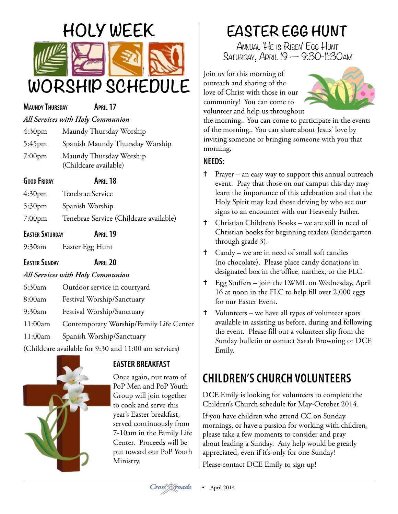

#### **MaundyThursday April 17**

### *All Services with Holy Communion*

| 4:30 <sub>pm</sub> | Maundy Thursday Worship                          |
|--------------------|--------------------------------------------------|
| $5:45$ pm          | Spanish Maundy Thursday Worship                  |
| $7:00$ pm          | Maundy Thursday Worship<br>(Childcare available) |

| <b>GOOD FRIDAY</b> | <b>APRIL 18</b>  |
|--------------------|------------------|
| 4:30 <sub>pm</sub> | Tenebrae Service |
| 5:30 <sub>pm</sub> | Spanish Worship  |

- 7:00pm Tenebrae Service (Childcare available)
- **Easter Saturday April 19**
- 9:30am Easter Egg Hunt

**EASTER SUNDAY APRIL 20** 

# *All Services with Holy Communion*

- 6:30am Outdoor service in courtyard
- 8:00am Festival Worship/Sanctuary
- 9:30am Festival Worship/Sanctuary
- 11:00am Contemporary Worship/Family Life Center
- 11:00am Spanish Worship/Sanctuary

(Childcare available for 9:30 and 11:00 am services)



# **EASTER BREAKFAST**

Once again, our team of PoP Men and PoP Youth Group will join together to cook and serve this year's Easter breakfast, served continuously from 7-10am in the Family Life Center. Proceeds will be put toward our PoP Youth Ministry.

# **EASTER EGG HUNT**

Annual 'He is Risen' Egg Hunt Saturday, April 19 — 9:30-11:30am

Join us for this morning of outreach and sharing of the love of Christ with those in our community! You can come to volunteer and help us throughout



the morning.. You can come to participate in the events of the morning.. You can share about Jesus' love by inviting someone or bringing someone with you that morning.

# **NEEDS:**

- ✝ Prayer an easy way to support this annual outreach event. Pray that those on our campus this day may learn the importance of this celebration and that the Holy Spirit may lead those driving by who see our signs to an encounter with our Heavenly Father.
- ✝ Christian Children's Books we are still in need of Christian books for beginning readers (kindergarten through grade 3).
- ✝ Candy we are in need of small soft candies (no chocolate). Please place candy donations in designated box in the office, narthex, or the FLC.
- ✝ Egg Stuffers join the LWML on Wednesday, April 16 at noon in the FLC to help fill over 2,000 eggs for our Easter Event.
- ✝ Volunteers we have all types of volunteer spots available in assisting us before, during and following the event. Please fill out a volunteer slip from the Sunday bulletin or contact Sarah Browning or DCE Emily.

# **CHILDREN'S CHURCH VOLUNTEERS**

DCE Emily is looking for volunteers to complete the Children's Church schedule for May-October 2014.

If you have children who attend CC on Sunday mornings, or have a passion for working with children, please take a few moments to consider and pray about leading a Sunday. Any help would be greatly appreciated, even if it's only for one Sunday! Please contact DCE Emily to sign up!

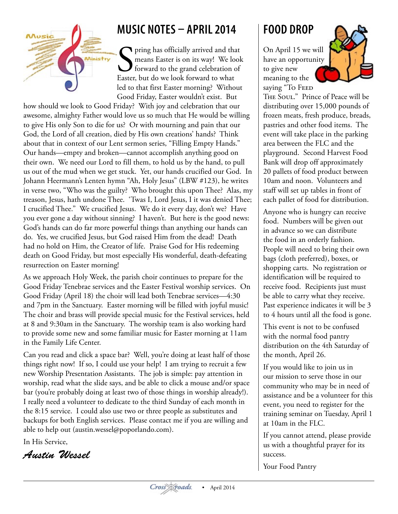

# **MUSIC NOTES – APRIL 2014**

See pring has officially arrived and that means Easter is on its way! We look forward to the grand celebration of Easter, but do we look forward to what **P** pring has officially arrived and that means Easter is on its way! We look forward to the grand celebration of led to that first Easter morning? Without Good Friday, Easter wouldn't exist. But

how should we look to Good Friday? With joy and celebration that our awesome, almighty Father would love us so much that He would be willing to give His only Son to die for us? Or with mourning and pain that our God, the Lord of all creation, died by His own creations' hands? Think about that in context of our Lent sermon series, "Filling Empty Hands." Our hands—empty and broken—cannot accomplish anything good on their own. We need our Lord to fill them, to hold us by the hand, to pull us out of the mud when we get stuck. Yet, our hands crucified our God. In Johann Heermann's Lenten hymn "Ah, Holy Jesus" (LBW #123), he writes in verse two, "Who was the guilty? Who brought this upon Thee? Alas, my treason, Jesus, hath undone Thee. 'Twas I, Lord Jesus, I it was denied Thee; I crucified Thee." We crucified Jesus. We do it every day, don't we? Have you ever gone a day without sinning? I haven't. But here is the good news: God's hands can do far more powerful things than anything our hands can do. Yes, we crucified Jesus, but God raised Him from the dead! Death had no hold on Him, the Creator of life. Praise God for His redeeming death on Good Friday, but most especially His wonderful, death-defeating resurrection on Easter morning!

As we approach Holy Week, the parish choir continues to prepare for the Good Friday Tenebrae services and the Easter Festival worship services. On Good Friday (April 18) the choir will lead both Tenebrae services—4:30 and 7pm in the Sanctuary. Easter morning will be filled with joyful music! The choir and brass will provide special music for the Festival services, held at 8 and 9:30am in the Sanctuary. The worship team is also working hard to provide some new and some familiar music for Easter morning at 11am in the Family Life Center.

Can you read and click a space bar? Well, you're doing at least half of those things right now! If so, I could use your help! I am trying to recruit a few new Worship Presentation Assistants. The job is simple: pay attention in worship, read what the slide says, and be able to click a mouse and/or space bar (you're probably doing at least two of those things in worship already!). I really need a volunteer to dedicate to the third Sunday of each month in the 8:15 service. I could also use two or three people as substitutes and backups for both English services. Please contact me if you are willing and able to help out (austin.wessel@poporlando.com).

In His Service,

*Austin Wessel*

# **FOOD DROP**

On April 15 we will have an opportunity to give new meaning to the saying "To FEED



THE SOUL." Prince of Peace will be distributing over 15,000 pounds of frozen meats, fresh produce, breads, pastries and other food items. The event will take place in the parking area between the FLC and the playground. Second Harvest Food Bank will drop off approximately 20 pallets of food product between 10am and noon. Volunteers and staff will set up tables in front of each pallet of food for distribution.

Anyone who is hungry can receive food. Numbers will be given out in advance so we can distribute the food in an orderly fashion. People will need to bring their own bags (cloth preferred), boxes, or shopping carts. No registration or identification will be required to receive food. Recipients just must be able to carry what they receive. Past experience indicates it will be 3 to 4 hours until all the food is gone.

This event is not to be confused with the normal food pantry distribution on the 4th Saturday of the month, April 26.

If you would like to join us in our mission to serve those in our community who may be in need of assistance and be a volunteer for this event, you need to register for the training seminar on Tuesday, April 1 at 10am in the FLC.

If you cannot attend, please provide us with a thoughtful prayer for its success.

Your Food Pantry

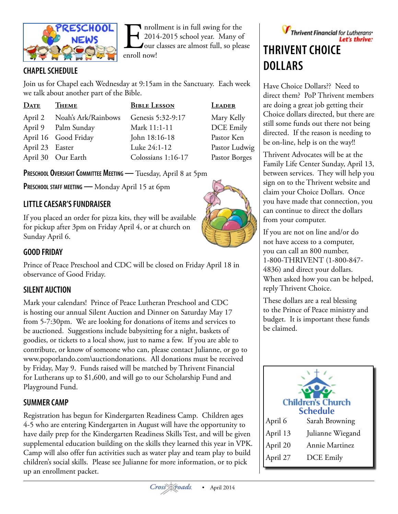

Informal is in full swing for the<br>2014-2015 school year. Many of<br>our classes are almost full, so plea<br>enroll now! 2014-2015 school year. Many of our classes are almost full, so please enroll now!

# **CHAPEL SCHEDULE**

Join us for Chapel each Wednesday at 9:15am in the Sanctuary. Each week we talk about another part of the Bible.

| <b>DATE</b>     | Тнеме                | <b>BIBLE LESSON</b> | LEADER        |
|-----------------|----------------------|---------------------|---------------|
| April 2         | Noah's Ark/Rainbows  | Genesis 5:32-9:17   | Mary Kelly    |
| April 9         | Palm Sunday          | Mark 11:1-11        | DCE Emily     |
|                 | April 16 Good Friday | John 18:16-18       | Pastor Ken    |
| April 23 Easter |                      | Luke 24:1-12        | Pastor Ludwig |
|                 | April 30 Our Earth   | Colossians 1:16-17  | Pastor Borges |

**PRESCHOOL OVERSIGHT COMMITTEE MEETING — Tuesday, April 8 at 5pm** 

**Preschool staff meeting —** Monday April 15 at 6pm

# **LITTLECAESAR'S FUNDRAISER**

If you placed an order for pizza kits, they will be available for pickup after 3pm on Friday April 4, or at church on Sunday April 6.

### **GOOD FRIDAY**

Prince of Peace Preschool and CDC will be closed on Friday April 18 in observance of Good Friday.

# **SILENT AUCTION**

Mark your calendars! Prince of Peace Lutheran Preschool and CDC is hosting our annual Silent Auction and Dinner on Saturday May 17 from 5-7:30pm. We are looking for donations of items and services to be auctioned. Suggestions include babysitting for a night, baskets of goodies, or tickets to a local show, just to name a few. If you are able to contribute, or know of someone who can, please contact Julianne, or go to www.poporlando.com\auctiondonations. All donations must be received by Friday, May 9. Funds raised will be matched by Thrivent Financial for Lutherans up to \$1,600, and will go to our Scholarship Fund and Playground Fund.

### **SUMMER CAMP**

Registration has begun for Kindergarten Readiness Camp. Children ages 4-5 who are entering Kindergarten in August will have the opportunity to have daily prep for the Kindergarten Readiness Skills Test, and will be given supplemental education building on the skills they learned this year in VPK. Camp will also offer fun activities such as water play and team play to build children's social skills. Please see Julianne for more information, or to pick up an enrollment packet.

# Thrivent Financial for Lutherans Let's thrive: **THRIVENT CHOICE DOLLARS**

Have Choice Dollars?? Need to direct them? PoP Thrivent members are doing a great job getting their Choice dollars directed, but there are still some funds out there not being directed. If the reason is needing to be on-line, help is on the way!!

Thrivent Advocates will be at the Family Life Center Sunday, April 13, between services. They will help you sign on to the Thrivent website and claim your Choice Dollars. Once you have made that connection, you can continue to direct the dollars from your computer.

If you are not on line and/or do not have access to a computer, you can call an 800 number, 1-800-THRIVENT (1-800-847- 4836) and direct your dollars. When asked how you can be helped, reply Thrivent Choice.

These dollars are a real blessing to the Prince of Peace ministry and budget. It is important these funds be claimed.





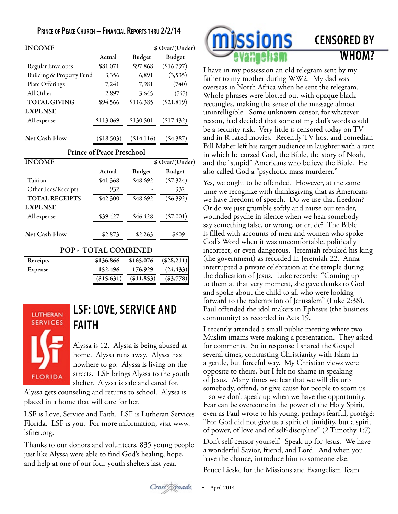| PRINCE OF PEACE CHURCH - FINANCIAL REPORTS THRU 2/2/14 |                                  |               |                 |
|--------------------------------------------------------|----------------------------------|---------------|-----------------|
| <b>INCOME</b>                                          |                                  |               | \$ Over/(Under) |
|                                                        | Actual                           | <b>Budget</b> | <b>Budget</b>   |
| Regular Envelopes                                      | \$81,071                         | \$97,868      | (\$16,797)      |
| Building & Property Fund                               | 3,356                            | 6,891         | (3,535)         |
| Plate Offerings                                        | 7,241                            | 7,981         | (740)           |
| All Other                                              | 2,897                            | 3,645         | (747)           |
| <b>TOTAL GIVING</b>                                    | \$94,566                         | \$116,385     | (\$21,819)      |
| <b>EXPENSE</b>                                         |                                  |               |                 |
| All expense                                            | \$113,069                        | \$130,501     | (\$17,432)      |
| <b>Net Cash Flow</b>                                   | (\$18,503)                       | (\$14,116)    | $(\$4,387)$     |
|                                                        | <b>Prince of Peace Preschool</b> |               |                 |
| <b>INCOME</b>                                          |                                  |               | \$ Over/(Under) |
|                                                        | Actual                           | <b>Budget</b> | <b>Budget</b>   |
| Tuition                                                | \$41,368                         | \$48,692      | $(\$7,324)$     |
| Other Fees/Receipts                                    | 932                              |               | 932             |
| <b>TOTAL RECEIPTS</b>                                  | \$42,300                         | \$48,692      | (\$6,392)       |
| <b>EXPENSE</b>                                         |                                  |               |                 |
| All expense                                            | \$39,427                         | \$46,428      | $(\$7,001)$     |
| <b>Net Cash Flow</b>                                   | \$2,873                          | \$2,263       | \$609           |
| POP - TOTAL COMBINED                                   |                                  |               |                 |
| Receipts                                               | \$136,866                        | \$165,076     | (\$28,211)      |
| <b>Expense</b>                                         | 152,496                          | 176,929       | (24, 433)       |
|                                                        | (\$15,631)                       | ( \$11,853)   | $(\$3,778)$     |



# **LSF: LOVE, SERVICE AND FAITH**

Alyssa is 12. Alyssa is being abused at home. Alyssa runs away. Alyssa has nowhere to go. Alyssa is living on the streets. LSF brings Alyssa to the youth shelter. Alyssa is safe and cared for.

Alyssa gets counseling and returns to school. Alyssa is placed in a home that will care for her.

LSF is Love, Service and Faith. LSF is Lutheran Services Florida. LSF is you. For more information, visit [www.](http://www.lsfnet.org) [lsfnet.org](http://www.lsfnet.org).

Thanks to our donors and volunteers, 835 young people just like Alyssa were able to find God's healing, hope, and help at one of our four youth shelters last year.



# **CENSORED BY WHOM?**

I have in my possession an old telegram sent by my father to my mother during WW2. My dad was overseas in North Africa when he sent the telegram. Whole phrases were blotted out with opaque black rectangles, making the sense of the message almost unintelligible. Some unknown censor, for whatever reason, had decided that some of my dad's words could be a security risk. Very little is censored today on TV and in R-rated movies. Recently TV host and comedian Bill Maher left his target audience in laughter with a rant in which he cursed God, the Bible, the story of Noah, and the "stupid" Americans who believe the Bible. He also called God a "psychotic mass murderer."

Yes, we ought to be offended. However, at the same time we recognize with thanksgiving that as Americans we have freedom of speech. Do we use that freedom? Or do we just grumble softly and nurse our tender, wounded psyche in silence when we hear somebody say something false, or wrong, or crude? The Bible is filled with accounts of men and women who spoke God's Word when it was uncomfortable, politically incorrect, or even dangerous. Jeremiah rebuked his king (the government) as recorded in Jeremiah 22. Anna interrupted a private celebration at the temple during the dedication of Jesus. Luke records: "Coming up to them at that very moment, she gave thanks to God and spoke about the child to all who were looking forward to the redemption of Jerusalem" (Luke 2:38). Paul offended the idol makers in Ephesus (the business community) as recorded in Acts 19.

I recently attended a small public meeting where two Muslim imams were making a presentation. They asked for comments. So in response I shared the Gospel several times, contrasting Christianity with Islam in a gentle, but forceful way. My Christian views were opposite to theirs, but I felt no shame in speaking of Jesus. Many times we fear that we will disturb somebody, offend, or give cause for people to scorn us – so we don't speak up when we have the opportunity. Fear can be overcome in the power of the Holy Spirit, even as Paul wrote to his young, perhaps fearful, protégé: "For God did not give us a spirit of timidity, but a spirit of power, of love and of self-discipline" (2 Timothy 1:7).

Don't self-censor yourself! Speak up for Jesus. We have a wonderful Savior, friend, and Lord. And when you have the chance, introduce him to someone else.

Bruce Lieske for the Missions and Evangelism Team

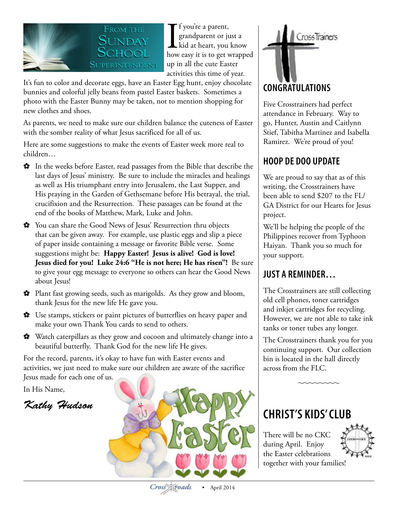

If you're a parent,<br>grandparent or just a<br>kid at heart, you know<br>how easy it is to get wrapped f you're a parent, grandparent or just a kid at heart, you know up in all the cute Easter activities this time of year.

It's fun to color and decorate eggs, have an Easter Egg hunt, enjoy chocolate bunnies and colorful jelly beans from pastel Easter baskets. Sometimes a photo with the Easter Bunny may be taken, not to mention shopping for new clothes and shoes.

As parents, we need to make sure our children balance the cuteness of Easter with the somber reality of what Jesus sacrificed for all of us.

Here are some suggestions to make the events of Easter week more real to children…

- ✿ In the weeks before Easter, read passages from the Bible that describe the last days of Jesus' ministry. Be sure to include the miracles and healings as well as His triumphant entry into Jerusalem, the Last Supper, and His praying in the Garden of Gethsemane before His betrayal, the trial, crucifixion and the Resurrection. These passages can be found at the end of the books of Matthew, Mark, Luke and John.
- ✿ You can share the Good News of Jesus' Resurrection thru objects that can be given away. For example, use plastic eggs and slip a piece of paper inside containing a message or favorite Bible verse. Some suggestions might be: **Happy Easter! Jesus is alive! God is love! Jesus died for you! Luke 24:6 "He is not here; He has risen"!** Be sure to give your egg message to everyone so others can hear the Good News about Jesus!
- ✿ Plant fast growing seeds, such as marigolds. As they grow and bloom, thank Jesus for the new life He gave you.
- ✿ Use stamps, stickers or paint pictures of butterflies on heavy paper and make your own Thank You cards to send to others.
- ✿ Watch caterpillars as they grow and cocoon and ultimately change into a beautiful butterfly. Thank God for the new life He gives.

For the record, parents, it's okay to have fun with Easter events and activities, we just need to make sure our children are aware of the sacrifice Jesus made for each one of us.

In His Name,

*Kathy Hudson*





Five Crosstrainers had perfect attendance in February. Way to go, Hunter, Austin and Caitlynn Stief, Tabitha Martinez and Isabella Ramirez. We're proud of you!

# **HOOP DE DOO UPDATE**

We are proud to say that as of this writing, the Crosstrainers have been able to send \$207 to the FL/ GA District for our Hearts for Jesus project.

We'll be helping the people of the Philippines recover from Typhoon Haiyan. Thank you so much for your support.

# **JUST A REMINDER…**

The Crosstrainers are still collecting old cell phones, toner cartridges and inkjet cartridges for recycling. However, we are not able to take ink tanks or toner tubes any longer.

The Crosstrainers thank you for you continuing support. Our collection bin is located in the hall directly across from the FLC.

# **CHRIST'S KIDS' CLUB**

There will be no CKC during April. Enjoy the Easter celebrations together with your families!

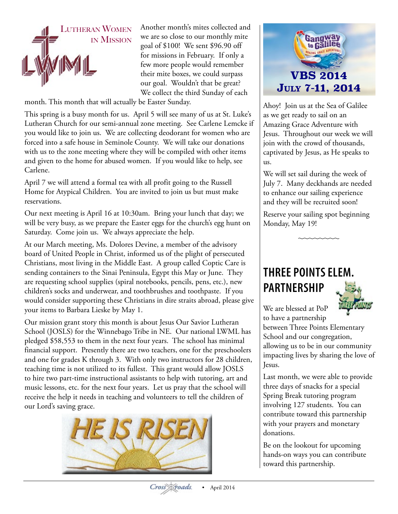

Another month's mites collected and we are so close to our monthly mite goal of \$100! We sent \$96.90 off for missions in February. If only a few more people would remember their mite boxes, we could surpass our goal. Wouldn't that be great? We collect the third Sunday of each

month. This month that will actually be Easter Sunday.

This spring is a busy month for us. April 5 will see many of us at St. Luke's Lutheran Church for our semi-annual zone meeting. See Carlene Lemcke if you would like to join us. We are collecting deodorant for women who are forced into a safe house in Seminole County. We will take our donations with us to the zone meeting where they will be compiled with other items and given to the home for abused women. If you would like to help, see Carlene.

April 7 we will attend a formal tea with all profit going to the Russell Home for Atypical Children. You are invited to join us but must make reservations.

Our next meeting is April 16 at 10:30am. Bring your lunch that day; we will be very busy, as we prepare the Easter eggs for the church's egg hunt on Saturday. Come join us. We always appreciate the help.

At our March meeting, Ms. Dolores Devine, a member of the advisory board of United People in Christ, informed us of the plight of persecuted Christians, most living in the Middle East. A group called Coptic Care is sending containers to the Sinai Peninsula, Egypt this May or June. They are requesting school supplies (spiral notebooks, pencils, pens, etc.), new children's socks and underwear, and toothbrushes and toothpaste. If you would consider supporting these Christians in dire straits abroad, please give your items to Barbara Lieske by May 1.

Our mission grant story this month is about Jesus Our Savior Lutheran School (JOSLS) for the Winnebago Tribe in NE. Our national LWML has pledged \$58,553 to them in the next four years. The school has minimal financial support. Presently there are two teachers, one for the preschoolers and one for grades K through 3. With only two instructors for 28 children, teaching time is not utilized to its fullest. This grant would allow JOSLS to hire two part-time instructional assistants to help with tutoring, art and music lessons, etc. for the next four years. Let us pray that the school will receive the help it needs in teaching and volunteers to tell the children of our Lord's saving grace.





Ahoy! Join us at the Sea of Galilee as we get ready to sail on an Amazing Grace Adventure with Jesus. Throughout our week we will join with the crowd of thousands, captivated by Jesus, as He speaks to us.

We will set sail during the week of July 7. Many deckhands are needed to enhance our sailing experience and they will be recruited soon!

Reserve your sailing spot beginning Monday, May 19!

# **THREE POINTS ELEM. PARTNERSHIP**



We are blessed at PoP to have a partnership

between Three Points Elementary School and our congregation, allowing us to be in our community impacting lives by sharing the love of Jesus.

Last month, we were able to provide three days of snacks for a special Spring Break tutoring program involving 127 students. You can contribute toward this partnership with your prayers and monetary donations.

Be on the lookout for upcoming hands-on ways you can contribute toward this partnership.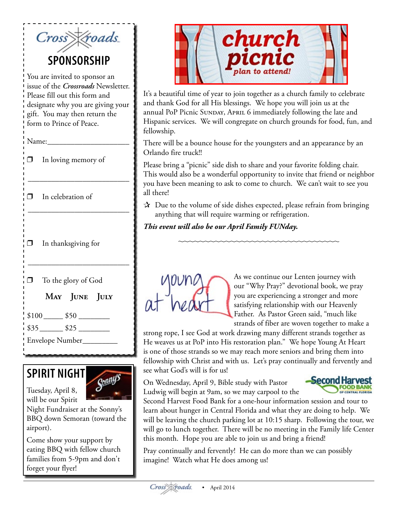| Cross Kroads.                                                                                                                                                                                                  |  |  |
|----------------------------------------------------------------------------------------------------------------------------------------------------------------------------------------------------------------|--|--|
| SPONSORSHIP                                                                                                                                                                                                    |  |  |
| You are invited to sponsor an<br>issue of the <i>Crossroads</i> Newsletter.<br>Please fill out this form and<br>designate why you are giving your<br>gift. You may then return the<br>form to Prince of Peace. |  |  |
|                                                                                                                                                                                                                |  |  |
| In loving memory of<br>$\Box$                                                                                                                                                                                  |  |  |
| In celebration of<br>⊓                                                                                                                                                                                         |  |  |
| In thanksgiving for<br>$\Box$                                                                                                                                                                                  |  |  |
| To the glory of God<br>$\Box$                                                                                                                                                                                  |  |  |
| MAY JUNE JULY                                                                                                                                                                                                  |  |  |
| $$100$ $$50$                                                                                                                                                                                                   |  |  |
|                                                                                                                                                                                                                |  |  |
| Envelope Number________                                                                                                                                                                                        |  |  |

# **SPIRIT NIGHT**

Tuesday, April 8, will be our Spirit



Night Fundraiser at the Sonny's BBQ down Semoran (toward the airport).

Come show your support by eating BBQ with fellow church families from 5-9pm and don't forget your flyer!



It's a beautiful time of year to join together as a church family to celebrate and thank God for all His blessings. We hope you will join us at the annual PoP Picnic SUNDAY, APRIL 6 immediately following the late and Hispanic services. We will congregate on church grounds for food, fun, and fellowship.

There will be a bounce house for the youngsters and an appearance by an Orlando fire truck!!

Please bring a "picnic" side dish to share and your favorite folding chair. This would also be a wonderful opportunity to invite that friend or neighbor you have been meaning to ask to come to church. We can't wait to see you all there!

 $\mathbf{\hat{x}}$  Due to the volume of side dishes expected, please refrain from bringing anything that will require warming or refrigeration.

*This event will also be our April Family FUNday.*



As we continue our Lenten journey with our "Why Pray?" devotional book, we pray you are experiencing a stronger and more satisfying relationship with our Heavenly Father. As Pastor Green said, "much like strands of fiber are woven together to make a

strong rope, I see God at work drawing many different strands together as He weaves us at PoP into His restoration plan." We hope Young At Heart is one of those strands so we may reach more seniors and bring them into fellowship with Christ and with us. Let's pray continually and fervently and see what God's will is for us!

On Wednesday, April 9, Bible study with Pastor Ludwig will begin at 9am, so we may carpool to the



Second Harvest Food Bank for a one-hour information session and tour to learn about hunger in Central Florida and what they are doing to help. We will be leaving the church parking lot at 10:15 sharp. Following the tour, we will go to lunch together. There will be no meeting in the Family life Center this month. Hope you are able to join us and bring a friend!

Pray continually and fervently! He can do more than we can possibly imagine! Watch what He does among us!

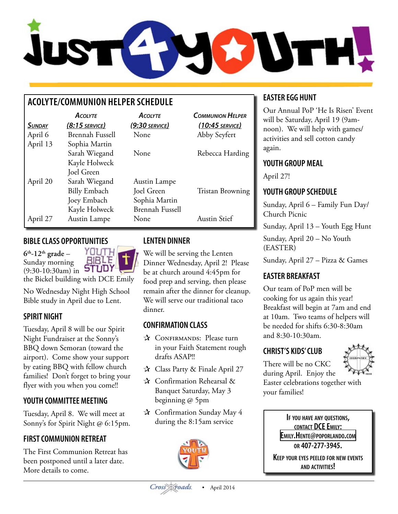

# **ACOLYTE/COMMUNION HELPER SCHEDULE**

|               | <b>ACOLYTE</b>         | <b>ACOLYTE</b>         | <b>COMMUNION HELPER</b> |
|---------------|------------------------|------------------------|-------------------------|
| <b>SUNDAY</b> | $(8:15$ service)       | (9:30 SERVICE)         | $(10:45$ SERVICE)       |
| April 6       | <b>Brennah Fussell</b> | None                   | Abby Seyfert            |
| April 13      | Sophia Martin          |                        |                         |
|               | Sarah Wiegand          | None                   | Rebecca Harding         |
|               | Kayle Holweck          |                        |                         |
|               | Joel Green             |                        |                         |
| April 20      | Sarah Wiegand          | Austin Lampe           |                         |
|               | <b>Billy Embach</b>    | Joel Green             | <b>Tristan Browning</b> |
|               | Joey Embach            | Sophia Martin          |                         |
|               | Kayle Holweck          | <b>Brennah Fussell</b> |                         |
| April 27      | Austin Lampe           | None                   | <b>Austin Stief</b>     |

### **BIBLECLASS OPPORTUNITIES**

YOUTH **6th-12th grade** – **BIBLE** Sunday morning (9:30-10:30am) in **STUDY** the Bickel building with DCE Emily

No Wednesday Night High School Bible study in April due to Lent.

# **SPIRIT NIGHT**

Tuesday, April 8 will be our Spirit Night Fundraiser at the Sonny's BBQ down Semoran (toward the airport). Come show your support by eating BBQ with fellow church families! Don't forget to bring your flyer with you when you come!!

# **YOUTH COMMITTEE MEETING**

Tuesday, April 8. We will meet at Sonny's for Spirit Night @ 6:15pm.

# **FIRST COMMUNION RETREAT**

The First Communion Retreat has been postponed until a later date. More details to come.

# **LENTEN DINNER**

We will be serving the Lenten Dinner Wednesday, April 2! Please be at church around 4:45pm for food prep and serving, then please remain after the dinner for cleanup. We will serve our traditional taco dinner.

# **CONFIRMATION CLASS**

- ✰ Confirmands: Please turn in your Faith Statement rough drafts ASAP!!
- ✰ Class Party & Finale April 27
- ✰ Confirmation Rehearsal & Banquet Saturday, May 3 beginning @ 5pm
- ✰ Confirmation Sunday May 4 during the 8:15am service



# **EASTER EGG HUNT**

Our Annual PoP 'He Is Risen' Event will be Saturday, April 19 (9amnoon). We will help with games/ activities and sell cotton candy again.

## **YOUTH GROUP MEAL**

April 27!

# **YOUTH GROUP SCHEDULE**

Sunday, April 6 – Family Fun Day/ Church Picnic

Sunday, April 13 – Youth Egg Hunt

Sunday, April 20 – No Youth (EASTER)

Sunday, April 27 – Pizza & Games

# **EASTER BREAKFAST**

Our team of PoP men will be cooking for us again this year! Breakfast will begin at 7am and end at 10am. Two teams of helpers will be needed for shifts 6:30-8:30am and 8:30-10:30am.

# **CHRIST'S KIDS' CLUB**



There will be no CKC during April. Enjoy the

Easter celebrations together with your families!

> **If you have any questions, cONTACT DCE EMILY: [Emily.Hente@poporlando.com](mailto:Emily.Hente@poporlando.com) or 407-277-3945.**

**Keep your eyes peeled for new events and activities!**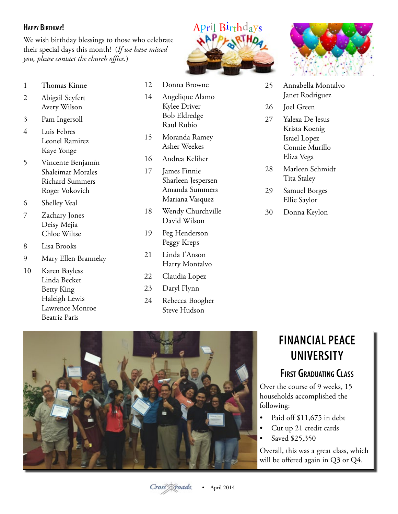#### **Happy Birthday!**

We wish birthday blessings to those who celebrate their special days this month! (*If we have missed you, please contact the church office.*)

- 1 Thomas Kinne
- 2 Abigail Seyfert Avery Wilson
- 3 Pam Ingersoll
- 4 Luis Febres Leonel Ramirez Kaye Yonge
- 5 Vincente Benjamín Shaleimar Morales Richard Summers Roger Vokovich
- 6 Shelley Veal
- 7 Zachary Jones Deisy Mejia Chloe Wiltse
- 8 Lisa Brooks
- 9 Mary Ellen Branneky
- 10 Karen Bayless Linda Becker Betty King Haleigh Lewis Lawrence Monroe Beatriz Paris
- 12 Donna Browne
- 14 Angelique Alamo Kylee Driver Bob Eldredge Raul Rubio
- 15 Moranda Ramey Asher Weekes
- 16 Andrea Keliher
- 17 James Finnie Sharleen Jespersen Amanda Summers Mariana Vasquez
- 18 Wendy Churchville David Wilson
- 19 Peg Henderson Peggy Kreps
- 21 Linda I'Anson Harry Montalvo
- 22 Claudia Lopez
- 23 Daryl Flynn
- 24 Rebecca Boogher Steve Hudson





- 25 Annabella Montalvo Janet Rodriguez
- 26 Joel Green
- 27 Yalexa De Jesus Krista Koenig Israel Lopez Connie Murillo Eliza Vega
- 28 Marleen Schmidt Tita Staley
- 29 Samuel Borges Ellie Saylor
- 30 Donna Keylon



# **FINANCIAL PEACE UNIVERSITY**

# **First Graduating Class**

Over the course of 9 weeks, 15 households accomplished the following:

- Paid off \$11,675 in debt
- Cut up 21 credit cards
- Saved \$25,350

Overall, this was a great class, which will be offered again in Q3 or Q4.